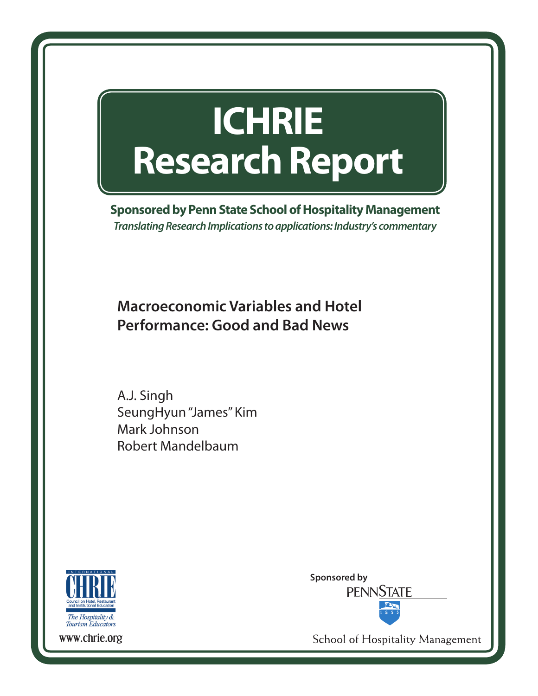# **ICHRIE Research Report**

**Sponsored by Penn State School of Hospitality Management** *Translating Research Implications to applications: Industry's commentary*

**Macroeconomic Variables and Hotel Performance: Good and Bad News**

A.J. Singh SeungHyun "James" Kim Mark Johnson Robert Mandelbaum



**Sponsored by PENNSTATE** 

School of Hospitality Management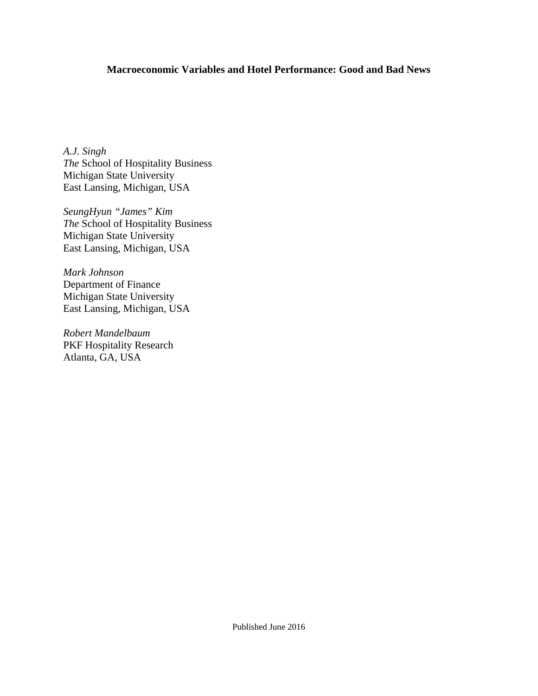### **Macroeconomic Variables and Hotel Performance: Good and Bad News**

*A.J. Singh The* School of Hospitality Business Michigan State University East Lansing, Michigan, USA

*SeungHyun "James" Kim The* School of Hospitality Business Michigan State University East Lansing, Michigan, USA

*Mark Johnson*  Department of Finance Michigan State University East Lansing, Michigan, USA

*Robert Mandelbaum*  PKF Hospitality Research Atlanta, GA, USA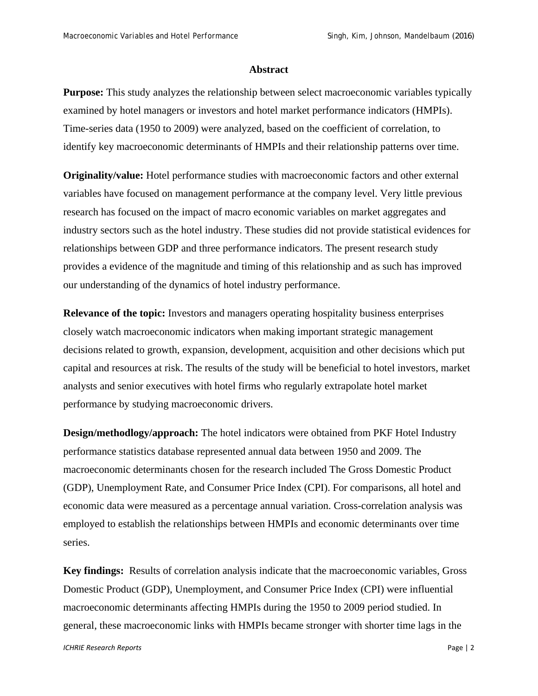#### **Abstract**

**Purpose:** This study analyzes the relationship between select macroeconomic variables typically examined by hotel managers or investors and hotel market performance indicators (HMPIs). Time-series data (1950 to 2009) were analyzed, based on the coefficient of correlation, to identify key macroeconomic determinants of HMPIs and their relationship patterns over time.

**Originality/value:** Hotel performance studies with macroeconomic factors and other external variables have focused on management performance at the company level. Very little previous research has focused on the impact of macro economic variables on market aggregates and industry sectors such as the hotel industry. These studies did not provide statistical evidences for relationships between GDP and three performance indicators. The present research study provides a evidence of the magnitude and timing of this relationship and as such has improved our understanding of the dynamics of hotel industry performance.

**Relevance of the topic:** Investors and managers operating hospitality business enterprises closely watch macroeconomic indicators when making important strategic management decisions related to growth, expansion, development, acquisition and other decisions which put capital and resources at risk. The results of the study will be beneficial to hotel investors, market analysts and senior executives with hotel firms who regularly extrapolate hotel market performance by studying macroeconomic drivers.

**Design/methodlogy/approach:** The hotel indicators were obtained from PKF Hotel Industry performance statistics database represented annual data between 1950 and 2009. The macroeconomic determinants chosen for the research included The Gross Domestic Product (GDP), Unemployment Rate, and Consumer Price Index (CPI). For comparisons, all hotel and economic data were measured as a percentage annual variation. Cross-correlation analysis was employed to establish the relationships between HMPIs and economic determinants over time series.

**Key findings:** Results of correlation analysis indicate that the macroeconomic variables, Gross Domestic Product (GDP), Unemployment, and Consumer Price Index (CPI) were influential macroeconomic determinants affecting HMPIs during the 1950 to 2009 period studied. In general, these macroeconomic links with HMPIs became stronger with shorter time lags in the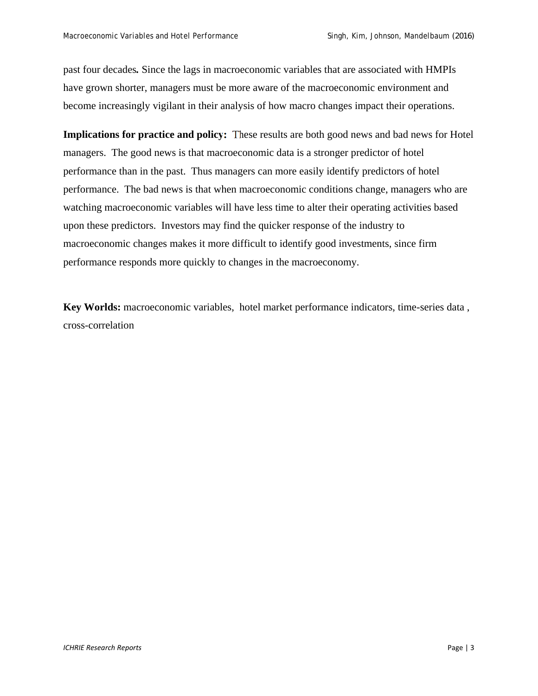past four decades*.* Since the lags in macroeconomic variables that are associated with HMPIs have grown shorter, managers must be more aware of the macroeconomic environment and become increasingly vigilant in their analysis of how macro changes impact their operations.

**Implications for practice and policy:** These results are both good news and bad news for Hotel managers. The good news is that macroeconomic data is a stronger predictor of hotel performance than in the past. Thus managers can more easily identify predictors of hotel performance. The bad news is that when macroeconomic conditions change, managers who are watching macroeconomic variables will have less time to alter their operating activities based upon these predictors. Investors may find the quicker response of the industry to macroeconomic changes makes it more difficult to identify good investments, since firm performance responds more quickly to changes in the macroeconomy.

**Key Worlds:** macroeconomic variables, hotel market performance indicators, time-series data , cross-correlation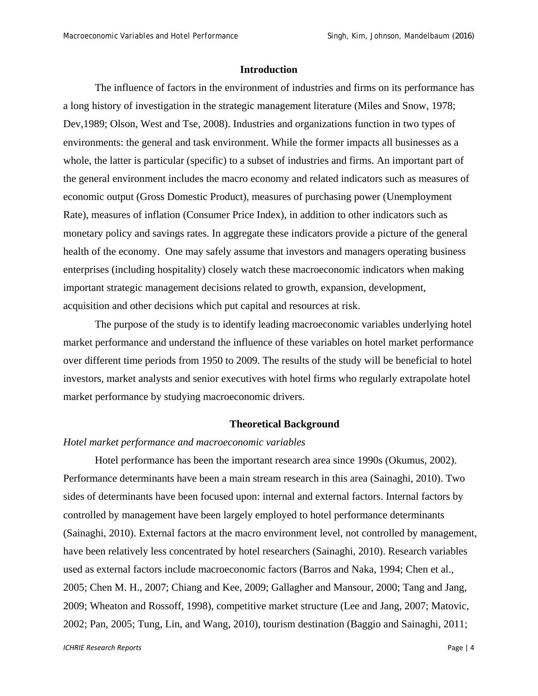#### **Introduction**

The influence of factors in the environment of industries and firms on its performance has a long history of investigation in the strategic management literature (Miles and Snow, 1978; Dev,1989; Olson, West and Tse, 2008). Industries and organizations function in two types of environments: the general and task environment. While the former impacts all businesses as a whole, the latter is particular (specific) to a subset of industries and firms. An important part of the general environment includes the macro economy and related indicators such as measures of economic output (Gross Domestic Product), measures of purchasing power (Unemployment Rate), measures of inflation (Consumer Price Index), in addition to other indicators such as monetary policy and savings rates. In aggregate these indicators provide a picture of the general health of the economy. One may safely assume that investors and managers operating business enterprises (including hospitality) closely watch these macroeconomic indicators when making important strategic management decisions related to growth, expansion, development, acquisition and other decisions which put capital and resources at risk.

The purpose of the study is to identify leading macroeconomic variables underlying hotel market performance and understand the influence of these variables on hotel market performance over different time periods from 1950 to 2009. The results of the study will be beneficial to hotel investors, market analysts and senior executives with hotel firms who regularly extrapolate hotel market performance by studying macroeconomic drivers.

#### **Theoretical Background**

#### *Hotel market performance and macroeconomic variables*

Hotel performance has been the important research area since 1990s (Okumus, 2002). Performance determinants have been a main stream research in this area (Sainaghi, 2010). Two sides of determinants have been focused upon: internal and external factors. Internal factors by controlled by management have been largely employed to hotel performance determinants (Sainaghi, 2010). External factors at the macro environment level, not controlled by management, have been relatively less concentrated by hotel researchers (Sainaghi, 2010). Research variables used as external factors include macroeconomic factors (Barros and Naka, 1994; Chen et al., 2005; Chen M. H., 2007; Chiang and Kee, 2009; Gallagher and Mansour, 2000; Tang and Jang, 2009; Wheaton and Rossoff, 1998), competitive market structure (Lee and Jang, 2007; Matovic, 2002; Pan, 2005; Tung, Lin, and Wang, 2010), tourism destination (Baggio and Sainaghi, 2011;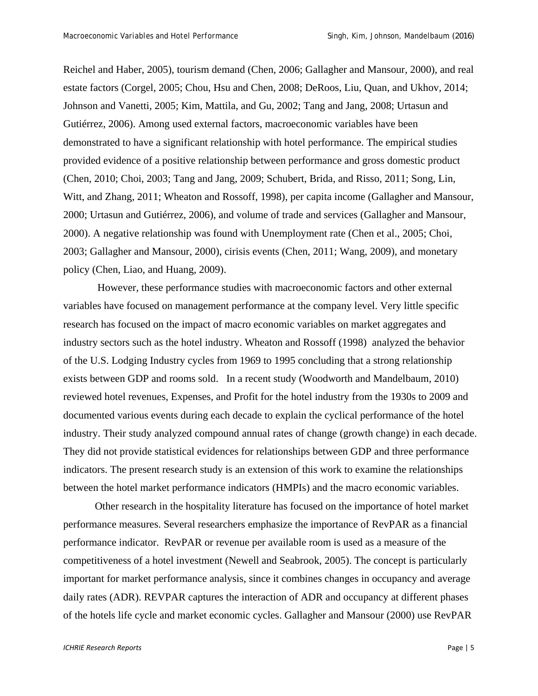Reichel and Haber, 2005), tourism demand (Chen, 2006; Gallagher and Mansour, 2000), and real estate factors (Corgel, 2005; Chou, Hsu and Chen, 2008; DeRoos, Liu, Quan, and Ukhov, 2014; Johnson and Vanetti, 2005; Kim, Mattila, and Gu, 2002; Tang and Jang, 2008; Urtasun and Gutiérrez, 2006). Among used external factors, macroeconomic variables have been demonstrated to have a significant relationship with hotel performance. The empirical studies provided evidence of a positive relationship between performance and gross domestic product (Chen, 2010; Choi, 2003; Tang and Jang, 2009; Schubert, Brida, and Risso, 2011; Song, Lin, Witt, and Zhang, 2011; Wheaton and Rossoff, 1998), per capita income (Gallagher and Mansour, 2000; Urtasun and Gutiérrez, 2006), and volume of trade and services (Gallagher and Mansour, 2000). A negative relationship was found with Unemployment rate (Chen et al., 2005; Choi, 2003; Gallagher and Mansour, 2000), cirisis events (Chen, 2011; Wang, 2009), and monetary policy (Chen, Liao, and Huang, 2009).

 However, these performance studies with macroeconomic factors and other external variables have focused on management performance at the company level. Very little specific research has focused on the impact of macro economic variables on market aggregates and industry sectors such as the hotel industry. Wheaton and Rossoff (1998) analyzed the behavior of the U.S. Lodging Industry cycles from 1969 to 1995 concluding that a strong relationship exists between GDP and rooms sold. In a recent study (Woodworth and Mandelbaum, 2010) reviewed hotel revenues, Expenses, and Profit for the hotel industry from the 1930s to 2009 and documented various events during each decade to explain the cyclical performance of the hotel industry. Their study analyzed compound annual rates of change (growth change) in each decade. They did not provide statistical evidences for relationships between GDP and three performance indicators. The present research study is an extension of this work to examine the relationships between the hotel market performance indicators (HMPIs) and the macro economic variables.

Other research in the hospitality literature has focused on the importance of hotel market performance measures. Several researchers emphasize the importance of RevPAR as a financial performance indicator. RevPAR or revenue per available room is used as a measure of the competitiveness of a hotel investment (Newell and Seabrook, 2005). The concept is particularly important for market performance analysis, since it combines changes in occupancy and average daily rates (ADR). REVPAR captures the interaction of ADR and occupancy at different phases of the hotels life cycle and market economic cycles. Gallagher and Mansour (2000) use RevPAR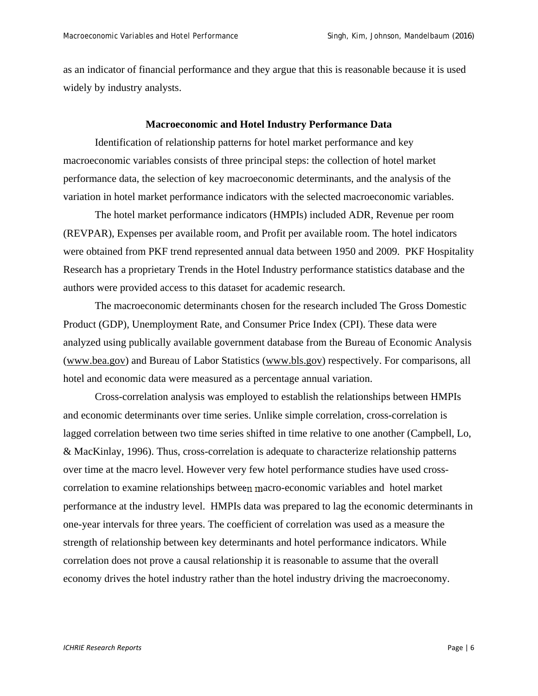as an indicator of financial performance and they argue that this is reasonable because it is used widely by industry analysts.

#### **Macroeconomic and Hotel Industry Performance Data**

Identification of relationship patterns for hotel market performance and key macroeconomic variables consists of three principal steps: the collection of hotel market performance data, the selection of key macroeconomic determinants, and the analysis of the variation in hotel market performance indicators with the selected macroeconomic variables.

The hotel market performance indicators (HMPIs) included ADR, Revenue per room (REVPAR), Expenses per available room, and Profit per available room. The hotel indicators were obtained from PKF trend represented annual data between 1950 and 2009. PKF Hospitality Research has a proprietary Trends in the Hotel Industry performance statistics database and the authors were provided access to this dataset for academic research.

The macroeconomic determinants chosen for the research included The Gross Domestic Product (GDP), Unemployment Rate, and Consumer Price Index (CPI). These data were analyzed using publically available government database from the Bureau of Economic Analysis (www.bea.gov) and Bureau of Labor Statistics (www.bls.gov) respectively. For comparisons, all hotel and economic data were measured as a percentage annual variation.

Cross-correlation analysis was employed to establish the relationships between HMPIs and economic determinants over time series. Unlike simple correlation, cross-correlation is lagged correlation between two time series shifted in time relative to one another (Campbell, Lo, & MacKinlay, 1996). Thus, cross-correlation is adequate to characterize relationship patterns over time at the macro level. However very few hotel performance studies have used crosscorrelation to examine relationships between macro-economic variables and hotel market performance at the industry level. HMPIs data was prepared to lag the economic determinants in one-year intervals for three years. The coefficient of correlation was used as a measure the strength of relationship between key determinants and hotel performance indicators. While correlation does not prove a causal relationship it is reasonable to assume that the overall economy drives the hotel industry rather than the hotel industry driving the macroeconomy.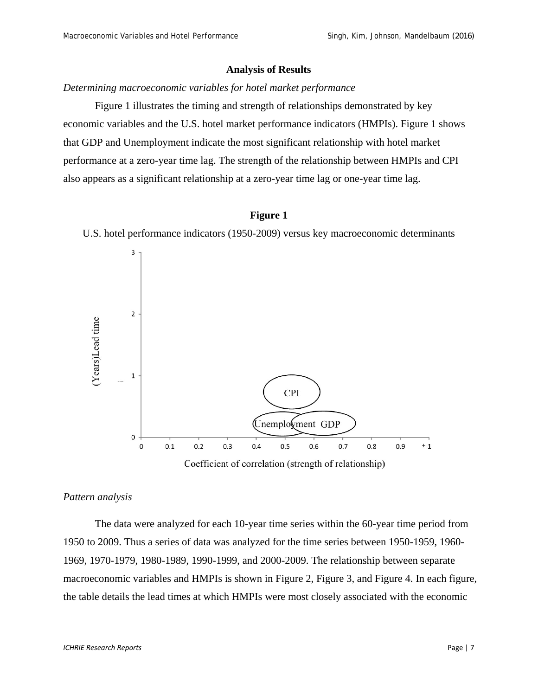#### **Analysis of Results**

#### *Determining macroeconomic variables for hotel market performance*

Figure 1 illustrates the timing and strength of relationships demonstrated by key economic variables and the U.S. hotel market performance indicators (HMPIs). Figure 1 shows that GDP and Unemployment indicate the most significant relationship with hotel market performance at a zero-year time lag. The strength of the relationship between HMPIs and CPI also appears as a significant relationship at a zero-year time lag or one-year time lag.

#### **Figure 1**

U.S. hotel performance indicators (1950-2009) versus key macroeconomic determinants



#### *Pattern analysis*

The data were analyzed for each 10-year time series within the 60-year time period from 1950 to 2009. Thus a series of data was analyzed for the time series between 1950-1959, 1960- 1969, 1970-1979, 1980-1989, 1990-1999, and 2000-2009. The relationship between separate macroeconomic variables and HMPIs is shown in Figure 2, Figure 3, and Figure 4. In each figure, the table details the lead times at which HMPIs were most closely associated with the economic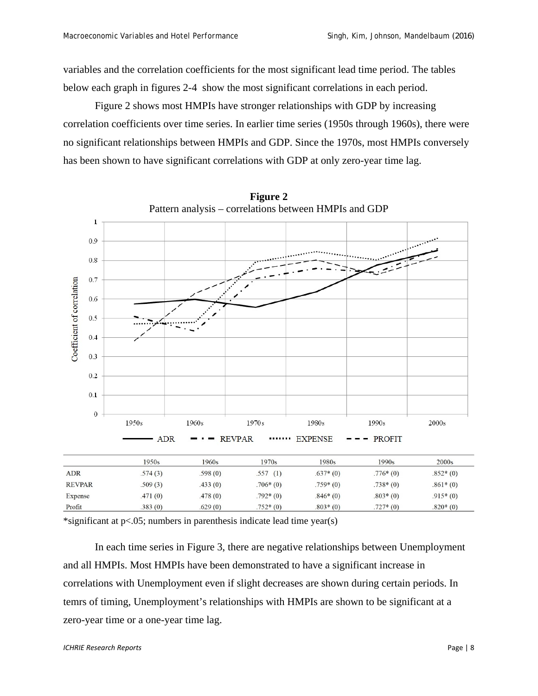variables and the correlation coefficients for the most significant lead time period. The tables below each graph in figures 2-4 show the most significant correlations in each period.

Figure 2 shows most HMPIs have stronger relationships with GDP by increasing correlation coefficients over time series. In earlier time series (1950s through 1960s), there were no significant relationships between HMPIs and GDP. Since the 1970s, most HMPIs conversely has been shown to have significant correlations with GDP at only zero-year time lag.



**Figure 2** 

\*significant at p<.05; numbers in parenthesis indicate lead time year(s)

In each time series in Figure 3, there are negative relationships between Unemployment and all HMPIs. Most HMPIs have been demonstrated to have a significant increase in correlations with Unemployment even if slight decreases are shown during certain periods. In temrs of timing, Unemployment's relationships with HMPIs are shown to be significant at a zero-year time or a one-year time lag.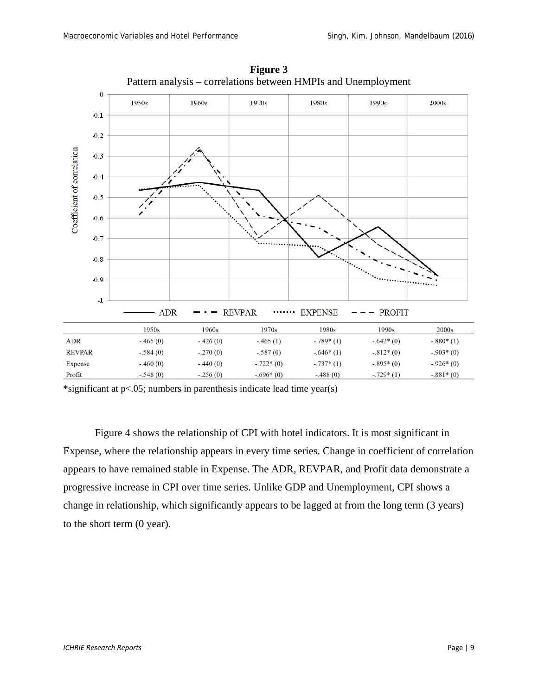

**Figure 3**  Pattern analysis – correlations between HMPIs and Unemployment

\*significant at p<.05; numbers in parenthesis indicate lead time year(s)

Figure 4 shows the relationship of CPI with hotel indicators. It is most significant in Expense, where the relationship appears in every time series. Change in coefficient of correlation appears to have remained stable in Expense. The ADR, REVPAR, and Profit data demonstrate a progressive increase in CPI over time series. Unlike GDP and Unemployment, CPI shows a change in relationship, which significantly appears to be lagged at from the long term (3 years) to the short term (0 year).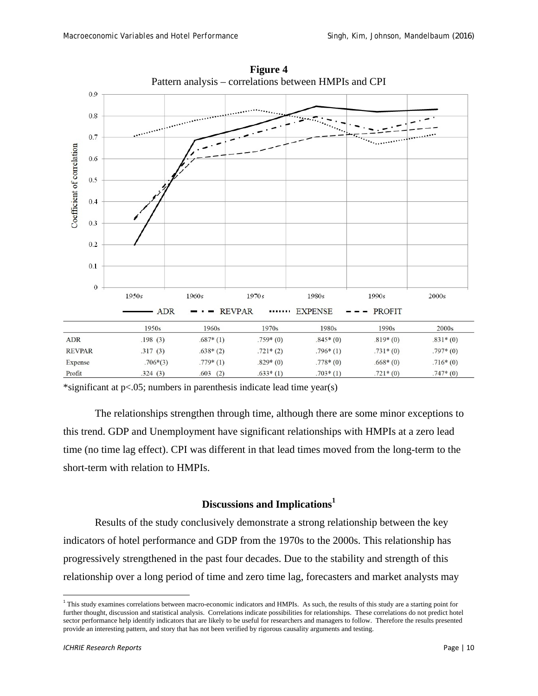

**Figure 4**  Pattern analysis – correlations between HMPIs and CPI

\*significant at  $p<.05$ ; numbers in parenthesis indicate lead time year(s)

The relationships strengthen through time, although there are some minor exceptions to this trend. GDP and Unemployment have significant relationships with HMPIs at a zero lead time (no time lag effect). CPI was different in that lead times moved from the long-term to the short-term with relation to HMPIs.

#### **Discussions and Implications<sup>1</sup>**

 Results of the study conclusively demonstrate a strong relationship between the key indicators of hotel performance and GDP from the 1970s to the 2000s. This relationship has progressively strengthened in the past four decades. Due to the stability and strength of this relationship over a long period of time and zero time lag, forecasters and market analysts may

<sup>&</sup>lt;sup>1</sup> This study examines correlations between macro-economic indicators and HMPIs. As such, the results of this study are a starting point for further thought, discussion and statistical analysis. Correlations indicate possibilities for relationships. These correlations do not predict hotel sector performance help identify indicators that are likely to be useful for researchers and managers to follow. Therefore the results presented provide an interesting pattern, and story that has not been verified by rigorous causality arguments and testing.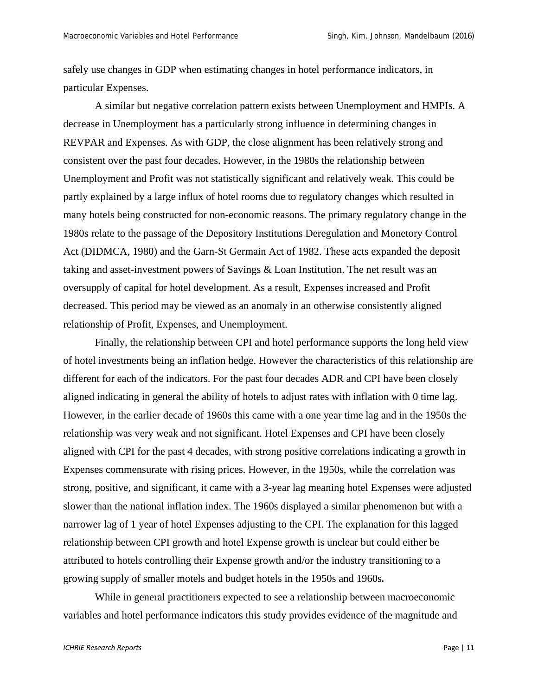safely use changes in GDP when estimating changes in hotel performance indicators, in particular Expenses.

A similar but negative correlation pattern exists between Unemployment and HMPIs. A decrease in Unemployment has a particularly strong influence in determining changes in REVPAR and Expenses. As with GDP, the close alignment has been relatively strong and consistent over the past four decades. However, in the 1980s the relationship between Unemployment and Profit was not statistically significant and relatively weak. This could be partly explained by a large influx of hotel rooms due to regulatory changes which resulted in many hotels being constructed for non-economic reasons. The primary regulatory change in the 1980s relate to the passage of the Depository Institutions Deregulation and Monetory Control Act (DIDMCA, 1980) and the Garn-St Germain Act of 1982. These acts expanded the deposit taking and asset-investment powers of Savings & Loan Institution. The net result was an oversupply of capital for hotel development. As a result, Expenses increased and Profit decreased. This period may be viewed as an anomaly in an otherwise consistently aligned relationship of Profit, Expenses, and Unemployment.

Finally, the relationship between CPI and hotel performance supports the long held view of hotel investments being an inflation hedge. However the characteristics of this relationship are different for each of the indicators. For the past four decades ADR and CPI have been closely aligned indicating in general the ability of hotels to adjust rates with inflation with 0 time lag. However, in the earlier decade of 1960s this came with a one year time lag and in the 1950s the relationship was very weak and not significant. Hotel Expenses and CPI have been closely aligned with CPI for the past 4 decades, with strong positive correlations indicating a growth in Expenses commensurate with rising prices. However, in the 1950s, while the correlation was strong, positive, and significant, it came with a 3-year lag meaning hotel Expenses were adjusted slower than the national inflation index. The 1960s displayed a similar phenomenon but with a narrower lag of 1 year of hotel Expenses adjusting to the CPI. The explanation for this lagged relationship between CPI growth and hotel Expense growth is unclear but could either be attributed to hotels controlling their Expense growth and/or the industry transitioning to a growing supply of smaller motels and budget hotels in the 1950s and 1960s*.*

While in general practitioners expected to see a relationship between macroeconomic variables and hotel performance indicators this study provides evidence of the magnitude and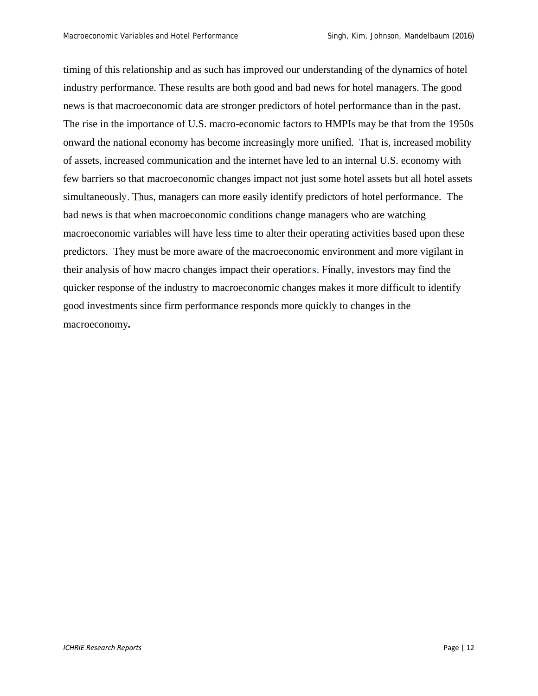timing of this relationship and as such has improved our understanding of the dynamics of hotel industry performance. These results are both good and bad news for hotel managers. The good news is that macroeconomic data are stronger predictors of hotel performance than in the past. The rise in the importance of U.S. macro-economic factors to HMPIs may be that from the 1950s onward the national economy has become increasingly more unified. That is, increased mobility of assets, increased communication and the internet have led to an internal U.S. economy with few barriers so that macroeconomic changes impact not just some hotel assets but all hotel assets simultaneously. Thus, managers can more easily identify predictors of hotel performance. The bad news is that when macroeconomic conditions change managers who are watching macroeconomic variables will have less time to alter their operating activities based upon these predictors. They must be more aware of the macroeconomic environment and more vigilant in their analysis of how macro changes impact their operations. Finally, investors may find the quicker response of the industry to macroeconomic changes makes it more difficult to identify good investments since firm performance responds more quickly to changes in the macroeconomy*.*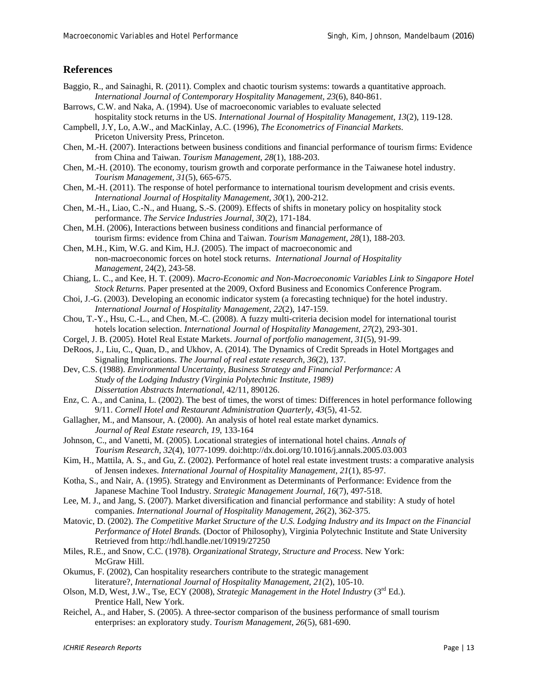#### **References**

- Baggio, R., and Sainaghi, R. (2011). Complex and chaotic tourism systems: towards a quantitative approach. *International Journal of Contemporary Hospitality Management, 23*(6), 840-861.
- Barrows, C.W. and Naka, A. (1994). Use of macroeconomic variables to evaluate selected hospitality stock returns in the US. *International Journal of Hospitality Management*, *13*(2), 119-128.
- Campbell, J.Y, Lo, A.W., and MacKinlay, A.C. (1996), *The Econometrics of Financial Markets*. Priceton University Press, Princeton.
- Chen, M.-H. (2007). Interactions between business conditions and financial performance of tourism firms: Evidence from China and Taiwan. *Tourism Management, 28*(1), 188-203.
- Chen, M.-H. (2010). The economy, tourism growth and corporate performance in the Taiwanese hotel industry. *Tourism Management, 31*(5), 665-675.
- Chen, M.-H. (2011). The response of hotel performance to international tourism development and crisis events. *International Journal of Hospitality Management, 30*(1), 200-212.
- Chen, M.-H., Liao, C.-N., and Huang, S.-S. (2009). Effects of shifts in monetary policy on hospitality stock performance. *The Service Industries Journal, 30*(2), 171-184.
- Chen, M.H. (2006), Interactions between business conditions and financial performance of tourism firms: evidence from China and Taiwan. *Tourism Management*, *28*(1), 188-203.
- Chen, M.H., Kim, W.G. and Kim, H.J. (2005). The impact of macroeconomic and non-macroeconomic forces on hotel stock returns. *International Journal of Hospitality Management*, 24(2), 243-58.
- Chiang, L. C., and Kee, H. T. (2009). *Macro-Economic and Non-Macroeconomic Variables Link to Singapore Hotel Stock Returns.* Paper presented at the 2009, Oxford Business and Economics Conference Program.
- Choi, J.-G. (2003). Developing an economic indicator system (a forecasting technique) for the hotel industry. *International Journal of Hospitality Management, 22*(2), 147-159.
- Chou, T.-Y., Hsu, C.-L., and Chen, M.-C. (2008). A fuzzy multi-criteria decision model for international tourist hotels location selection. *International Journal of Hospitality Management, 27*(2), 293-301.
- Corgel, J. B. (2005). Hotel Real Estate Markets. *Journal of portfolio management, 31*(5), 91-99.
- DeRoos, J., Liu, C., Quan, D., and Ukhov, A. (2014). The Dynamics of Credit Spreads in Hotel Mortgages and Signaling Implications. *The Journal of real estate research, 36*(2), 137.
- Dev, C.S. (1988). *Environmental Uncertainty, Business Strategy and Financial Performance: A Study of the Lodging Industry (Virginia Polytechnic Institute, 1989) Dissertation Abstracts International*, 42/11, 890126.
- Enz, C. A., and Canina, L. (2002). The best of times, the worst of times: Differences in hotel performance following 9/11. *Cornell Hotel and Restaurant Administration Quarterly, 43*(5), 41-52.
- Gallagher, M., and Mansour, A. (2000). An analysis of hotel real estate market dynamics. *Journal of Real Estate research, 19*, 133-164
- Johnson, C., and Vanetti, M. (2005). Locational strategies of international hotel chains. *Annals of Tourism Research, 32*(4), 1077-1099. doi:http://dx.doi.org/10.1016/j.annals.2005.03.003
- Kim, H., Mattila, A. S., and Gu, Z. (2002). Performance of hotel real estate investment trusts: a comparative analysis of Jensen indexes. *International Journal of Hospitality Management, 21*(1), 85-97.
- Kotha, S., and Nair, A. (1995). Strategy and Environment as Determinants of Performance: Evidence from the Japanese Machine Tool Industry. *Strategic Management Journal, 16*(7), 497-518.
- Lee, M. J., and Jang, S. (2007). Market diversification and financial performance and stability: A study of hotel companies. *International Journal of Hospitality Management, 26*(2), 362-375.
- Matovic, D. (2002). *The Competitive Market Structure of the U.S. Lodging Industry and its Impact on the Financial Performance of Hotel Brands.* (Doctor of Philosophy), Virginia Polytechnic Institute and State University Retrieved from http://hdl.handle.net/10919/27250
- Miles, R.E., and Snow, C.C. (1978). *Organizational Strategy, Structure and Process*. New York: McGraw Hill.
- Okumus, F. (2002), Can hospitality researchers contribute to the strategic management literature?, *International Journal of Hospitality Management*, *21*(2), 105-10.
- Olson, M.D, West, J.W., Tse, ECY (2008), *Strategic Management in the Hotel Industry* (3<sup>rd</sup> Ed.). Prentice Hall, New York.
- Reichel, A., and Haber, S. (2005). A three-sector comparison of the business performance of small tourism enterprises: an exploratory study. *Tourism Management, 26*(5), 681-690.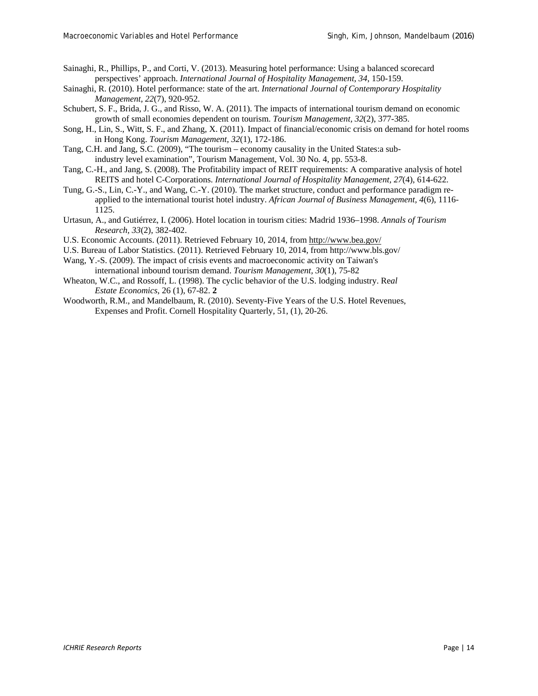Sainaghi, R., Phillips, P., and Corti, V. (2013). Measuring hotel performance: Using a balanced scorecard perspectives' approach. *International Journal of Hospitality Management, 34*, 150-159.

- Sainaghi, R. (2010). Hotel performance: state of the art. *International Journal of Contemporary Hospitality Management, 22*(7), 920-952.
- Schubert, S. F., Brida, J. G., and Risso, W. A. (2011). The impacts of international tourism demand on economic growth of small economies dependent on tourism. *Tourism Management, 32*(2), 377-385.
- Song, H., Lin, S., Witt, S. F., and Zhang, X. (2011). Impact of financial/economic crisis on demand for hotel rooms in Hong Kong. *Tourism Management, 32*(1), 172-186.
- Tang, C.H. and Jang, S.C. (2009), "The tourism economy causality in the United States:a subindustry level examination", Tourism Management, Vol. 30 No. 4, pp. 553-8.
- Tang, C.-H., and Jang, S. (2008). The Profitability impact of REIT requirements: A comparative analysis of hotel REITS and hotel C-Corporations. *International Journal of Hospitality Management, 27*(4), 614-622.
- Tung, G.-S., Lin, C.-Y., and Wang, C.-Y. (2010). The market structure, conduct and performance paradigm reapplied to the international tourist hotel industry. *African Journal of Business Management, 4*(6), 1116- 1125.
- Urtasun, A., and Gutiérrez, I. (2006). Hotel location in tourism cities: Madrid 1936–1998. *Annals of Tourism Research, 33*(2), 382-402.
- U.S. Economic Accounts. (2011). Retrieved February 10, 2014, from http://www.bea.gov/
- U.S. Bureau of Labor Statistics. (2011). Retrieved February 10, 2014, from http://www.bls.gov/
- Wang, Y.-S. (2009). The impact of crisis events and macroeconomic activity on Taiwan's international inbound tourism demand. *Tourism Management, 30*(1), 75-82
- Wheaton, W.C., and Rossoff, L. (1998). The cyclic behavior of the U.S. lodging industry. Re*al Estate Economics*, 26 (1), 67-82. **2**
- Woodworth, R.M., and Mandelbaum, R. (2010). Seventy-Five Years of the U.S. Hotel Revenues, Expenses and Profit. Cornell Hospitality Quarterly, 51, (1), 20-26.